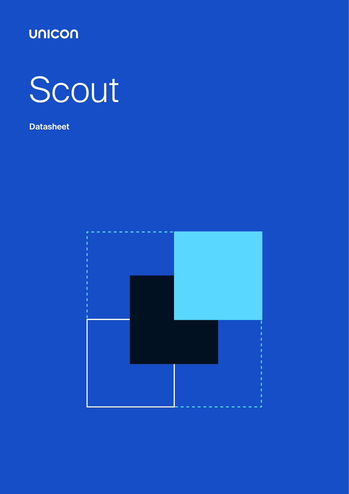

# Scout

### **Datasheet**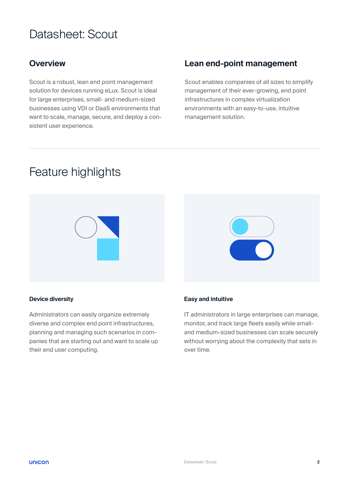## Datasheet: Scout

Scout is a robust, lean end point management solution for devices running eLux. Scout is ideal for large enterprises, small- and medium-sized businesses using VDI or DaaS environments that want to scale, manage, secure, and deploy a consistent user experience.

#### **Overview Lean end-point management**

Scout enables companies of all sizes to simplify management of their ever-growing, end point infrastructures in complex virtualization environments with an easy-to-use, intuitive management solution.

## Feature highlights



#### **Device diversity**

Administrators can easily organize extremely diverse and complex end point infrastructures, planning and managing such scenarios in companies that are starting out and want to scale up their end user computing.

#### **Easy and intuitive**

IT administrators in large enterprises can manage, monitor, and track large fleets easily while smalland medium-sized businesses can scale securely without worrying about the complexity that sets in over time.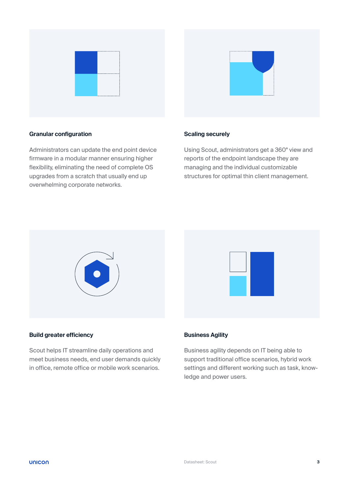



#### **Granular configuration**

Administrators can update the end point device firmware in a modular manner ensuring higher flexibility, eliminating the need of complete OS upgrades from a scratch that usually end up overwhelming corporate networks.

#### **Scaling securely**

Using Scout, administrators get a 360° view and reports of the endpoint landscape they are managing and the individual customizable structures for optimal thin client management.





Scout helps IT streamline daily operations and meet business needs, end user demands quickly in office, remote office or mobile work scenarios.

#### **Business Agility**

Business agility depends on IT being able to support traditional office scenarios, hybrid work settings and different working such as task, knowledge and power users.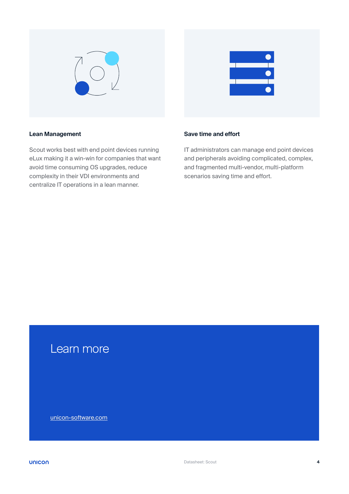



#### **Lean Management**

Scout works best with end point devices running eLux making it a win-win for companies that want avoid time consuming OS upgrades, reduce complexity in their VDI environments and centralize IT operations in a lean manner.

#### **Save time and effort**

IT administrators can manage end point devices and peripherals avoiding complicated, complex, and fragmented multi-vendor, multi-platform scenarios saving time and effort.

## Learn more

[unicon-software.com](http://unicon-software.com)